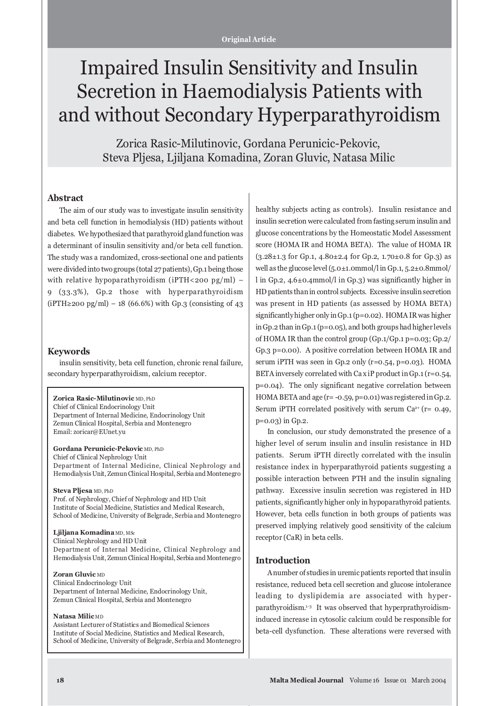# Impaired Insulin Sensitivity and Insulin Secretion in Haemodialysis Patients with and without Secondary Hyperparathyroidism

Zorica Rasic-Milutinovic, Gordana Perunicic-Pekovic, Steva Pljesa, Ljiljana Komadina, Zoran Gluvic, Natasa Milic

## **Abstract**

The aim of our study was to investigate insulin sensitivity and beta cell function in hemodialysis (HD) patients without diabetes. We hypothesized that parathyroid gland function was a determinant of insulin sensitivity and/or beta cell function. The study was a randomized, cross-sectional one and patients were divided into two groups (total 27 patients), Gp.1 being those with relative hypoparathyroidism (iPTH<200 pg/ml) – 9 (33.3%), Gp.2 those with hyperparathyroidism  $(iPTH \ge 200 \text{ pg/ml}) - 18 (66.6%)$  with Gp.3 (consisting of 43)

#### **Keywords**

insulin sensitivity, beta cell function, chronic renal failure, secondary hyperparathyroidism, calcium receptor.

**Zorica Rasic-Milutinovic** MD, PhD Chief of Clinical Endocrinology Unit Department of Internal Medicine, Endocrinology Unit Zemun Clinical Hospital, Serbia and Montenegro Email: zoricar@EUnet.yu

**Gordana Perunicic-Pekovic** MD, PhD Chief of Clinical Nephrology Unit Department of Internal Medicine, Clinical Nephrology and Hemodialysis Unit, Zemun Clinical Hospital, Serbia and Montenegro

#### **Steva Pljesa** MD, PhD

Prof. of Nephrology, Chief of Nephrology and HD Unit Institute of Social Medicine, Statistics and Medical Research, School of Medicine, University of Belgrade, Serbia and Montenegro

**Ljiljana Komadina** MD, MSc Clinical Nephrology and HD Unit Department of Internal Medicine, Clinical Nephrology and Hemodialysis Unit, Zemun Clinical Hospital, Serbia and Montenegro

**Zoran Gluvic** MD

Clinical Endocrinology Unit Department of Internal Medicine, Endocrinology Unit, Zemun Clinical Hospital, Serbia and Montenegro

#### **Natasa Milic** MD

Assistant Lecturer of Statistics and Biomedical Sciences Institute of Social Medicine, Statistics and Medical Research, School of Medicine, University of Belgrade, Serbia and Montenegro healthy subjects acting as controls). Insulin resistance and insulin secretion were calculated from fasting serum insulin and glucose concentrations by the Homeostatic Model Assessment score (HOMA IR and HOMA BETA). The value of HOMA IR (3.28±1.3 for Gp.1, 4.80±2.4 for Gp.2, 1.70±0.8 for Gp.3) as well as the glucose level (5.0±1.0mmol/l in Gp.1, 5.2±0.8mmol/ l in Gp.2, 4.6±0.4mmol/l in Gp.3) was significantly higher in HD patients than in control subjects. Excessive insulin secretion was present in HD patients (as assessed by HOMA BETA) significantly higher only in Gp.1 (p=0.02). HOMA IR was higher in Gp.2 than in Gp.1 (p=0.05), and both groups had higher levels of HOMA IR than the control group (Gp.1/Gp.1 p=0.03; Gp.2/ Gp.3 p=0.00). A positive correlation between HOMA IR and serum iPTH was seen in Gp.2 only (r=0.54, p=0.03). HOMA BETA inversely correlated with Ca x iP product in Gp.1 ( $r=0.54$ , p=0.04). The only significant negative correlation between HOMA BETA and age (r= -0.59, p=0.01) was registered in Gp.2. Serum iPTH correlated positively with serum  $Ca^{2+}$  (r= 0.49, p=0.03) in Gp.2.

In conclusion, our study demonstrated the presence of a higher level of serum insulin and insulin resistance in HD patients. Serum iPTH directly correlated with the insulin resistance index in hyperparathyroid patients suggesting a possible interaction between PTH and the insulin signaling pathway. Excessive insulin secretion was registered in HD patients, significantly higher only in hypoparathyroid patients. However, beta cells function in both groups of patients was preserved implying relatively good sensitivity of the calcium receptor (CaR) in beta cells.

#### **Introduction**

A number of studies in uremic patients reported that insulin resistance, reduced beta cell secretion and glucose intolerance leading to dyslipidemia are associated with hyperparathyroidism.1-3 It was observed that hyperprathyroidisminduced increase in cytosolic calcium could be responsible for beta-cell dysfunction. These alterations were reversed with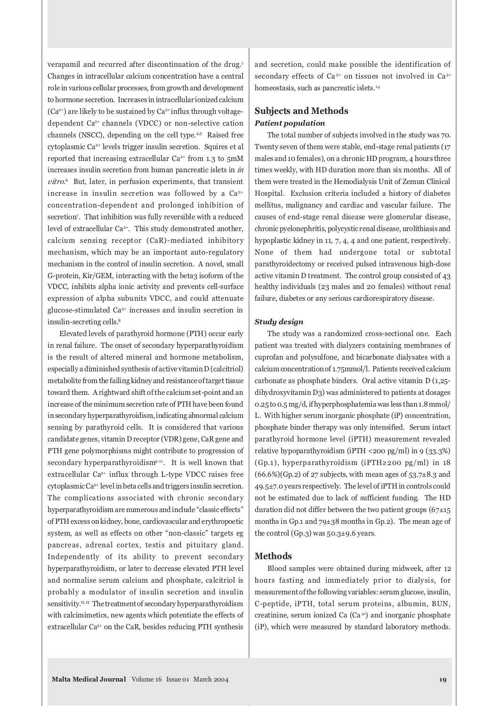verapamil and recurred after discontinuation of the drug.<sup>1</sup> Changes in intracellular calcium concentration have a central role in various cellular processes, from growth and development to hormone secretion. Increases in intracellular ionized calcium  $(Ca^{2+})$  are likely to be sustained by  $Ca^{2+}$  influx through voltagedependent Ca<sup>2+</sup> channels (VDCC) or non-selective cation channels (NSCC), depending on the cell type.<sup>4,5</sup> Raised free cytoplasmic Ca2+ levels trigger insulin secretion. Squires et al reported that increasing extracellular  $Ca^{2+}$  from 1.3 to 5mM increases insulin secretion from human pancreatic islets in *in vitro*. 6 But, later, in perfusion experiments, that transient increase in insulin secretion was followed by a  $Ca^{2+}$ concentration-dependent and prolonged inhibition of secretion7. That inhibition was fully reversible with a reduced level of extracellular Ca<sup>2+</sup>. This study demonstrated another, calcium sensing receptor (CaR)-mediated inhibitory mechanism, which may be an important auto-regulatory mechanism in the control of insulin secretion. A novel, small G-protein, Kir/GEM, interacting with the beta3 isoform of the VDCC, inhibits alpha ionic activity and prevents cell-surface expression of alpha subunits VDCC, and could attenuate glucose-stimulated Ca2+ increases and insulin secretion in insulin-secreting cells.8

Elevated levels of parathyroid hormone (PTH) occur early in renal failure. The onset of secondary hyperparathyroidism is the result of altered mineral and hormone metabolism, especially a diminished synthesis of active vitamin D (calcitriol) metabolite from the failing kidney and resistance of target tissue toward them. A rightward shift of the calcium set-point and an increase of the minimum secretion rate of PTH have been found in secondary hyperparathyroidism, indicating abnormal calcium sensing by parathyroid cells. It is considered that various candidate genes, vitamin D receptor (VDR) gene, CaR gene and PTH gene polymorphisms might contribute to progression of secondary hyperparathyroidism<sup>9-11</sup>. It is well known that extracellular Ca<sup>2+</sup> influx through L-type VDCC raises free cytoplasmic Ca<sup>2+</sup> level in beta cells and triggers insulin secretion. The complications associated with chronic secondary hyperparathyroidism are numerous and include "classic effects" of PTH excess on kidney, bone, cardiovascular and erythropoetic system, as well as effects on other "non-classic" targets eg pancreas, adrenal cortex, testis and pituitary gland. Independently of its ability to prevent secondary hyperparathyroidism, or later to decrease elevated PTH level and normalise serum calcium and phosphate, calcitriol is probably a modulator of insulin secretion and insulin sensitivity.<sup>12,13</sup> The treatment of secondary hyperparathyroidism with calcimimetics, new agents which potentiate the effects of extracellular Ca<sup>2+</sup> on the CaR, besides reducing PTH synthesis

and secretion, could make possible the identification of secondary effects of Ca<sup>2+</sup> on tissues not involved in Ca<sup>2+</sup> homeostasis, such as pancreatic islets.<sup>14</sup>

## **Subjects and Methods** *Patient population*

The total number of subjects involved in the study was 70. Twenty seven of them were stable, end-stage renal patients (17 males and 10 females), on a chronic HD program, 4 hours three times weekly, with HD duration more than six months. All of them were treated in the Hemodialysis Unit of Zemun Clinical Hospital. Exclusion criteria included a history of diabetes mellitus, malignancy and cardiac and vascular failure. The causes of end-stage renal disease were glomerular disease, chronic pyelonephritis, polycystic renal disease, urolithiasis and hypoplastic kidney in 11, 7, 4, 4 and one patient, respectively. None of them had undergone total or subtotal parathyroidectomy or received pulsed intravenous high-dose active vitamin D treatment. The control group consisted of 43 healthy individuals (23 males and 20 females) without renal failure, diabetes or any serious cardiorespiratory disease.

## *Study design*

The study was a randomized cross-sectional one. Each patient was treated with dialyzers containing membranes of cuprofan and polysulfone, and bicarbonate dialysates with a calcium concentration of 1.75mmol/l. Patients received calcium carbonate as phosphate binders. Oral active vitamin D (1,25 dihydroxyvitamin D3) was administered to patients at dosages 0.25 to 0.5 mg/d, if hyperphosphatemia was less than 1.8 mmol/ L. With higher serum inorganic phosphate (iP) concentration, phosphate binder therapy was only intensified. Serum intact parathyroid hormone level (iPTH) measurement revealed relative hypoparathyroidism (iPTH <200 pg/ml) in 9 (33.3%) (Gp.1), hyperparathyroidism (iPTH≥200 pg/ml) in 18  $(66.6\%)$ (Gp.2) of 27 subjects, with mean ages of 53.7 $\pm$ 8.3 and 49.5±7.0 years respectively. The level of iPTH in controls could not be estimated due to lack of sufficient funding. The HD duration did not differ between the two patient groups  $(67±15)$ months in Gp.1 and 79±38 months in Gp.2). The mean age of the control (Gp.3) was 50.3±9.6 years.

## **Methods**

Blood samples were obtained during midweek, after 12 hours fasting and immediately prior to dialysis, for measurement of the following variables: serum glucose, insulin, C-peptide, iPTH, total serum proteins, albumin, BUN, creatinine, serum ionized Ca  $(Ca<sup>2+</sup>)$  and inorganic phosphate (iP), which were measured by standard laboratory methods.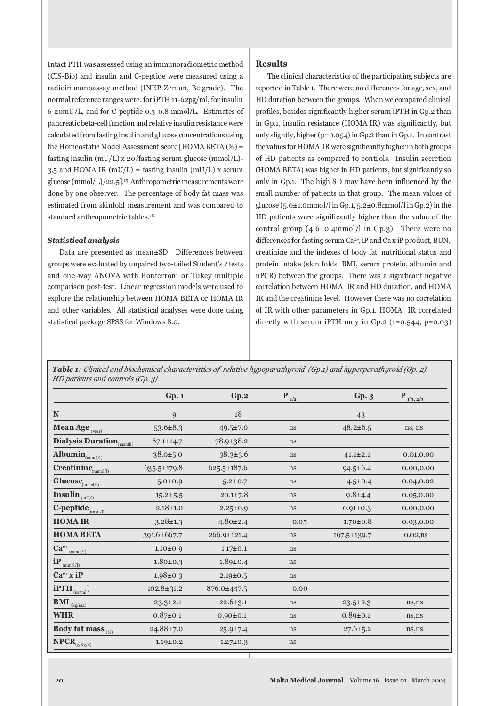Intact PTH was assessed using an immunoradiometric method (CIS-Bio) and insulin and C-peptide were measured using a radioimmunoassay method (INEP Zemun, Belgrade). The normal reference ranges were: for iPTH 11-62pg/ml, for insulin 6-20mU/L, and for C-peptide 0.3-0.8 mmol/L. Estimates of pancreatic beta-cell function and relative insulin resistance were calculated from fasting insulin and glucose concentrations using the Homeostatic Model Assessment score [HOMA BETA (%) = fasting insulin (mU/L) x 20/fasting serum glucose (mmol/L)- 3.5 and HOMA IR ( $mU/L$ ) = fasting insulin ( $mU/L$ ) x serum glucose  $\frac{\text{mmol/L}}{22.5}$ .<sup>15</sup> Anthropometric measurements were done by one observer. The percentage of body fat mass was estimated from skinfold measurement and was compared to standard anthropometric tables.<sup>18</sup>

### *Statistical analysis*

Data are presented as mean±SD. Differences between groups were evaluated by unpaired two-tailed Student's *t* tests and one-way ANOVA with Bonferroni or Tukey multiple comparison post-test. Linear regression models were used to explore the relationship between HOMA BETA or HOMA IR and other variables. All statistical analyses were done using statistical package SPSS for Windows 8.0.

### **Results**

The clinical characteristics of the participating subjects are reported in Table 1. There were no differences for age, sex, and HD duration between the groups. When we compared clinical profiles, besides significantly higher serum iPTH in Gp.2 than in Gp.1, insulin resistance (HOMA IR) was significantly, but only slightly, higher (p=0.054) in Gp.2 than in Gp.1. In contrast the values for HOMA IR were significantly higher in both groups of HD patients as compared to controls. Insulin secretion (HOMA BETA) was higher in HD patients, but significantly so only in Gp.1. The high SD may have been influenced by the small number of patients in that group. The mean values of glucose  $(5.0\pm1.0$ mmol/l in Gp.1,  $5.2\pm0.8$ mmol/l in Gp.2) in the HD patients were significantly higher than the value of the control group  $(4.6\pm0.4$ mmol/l in Gp.3). There were no differences for fasting serum Ca<sup>2+</sup>, iP and Ca x iP product, BUN, creatinine and the indexes of body fat, nutritional status and protein intake (skin folds, BMI, serum protein, albumin and nPCR) between the groups. There was a significant negative correlation between HOMA IR and HD duration, and HOMA IR and the creatinine level. However there was no correlation of IR with other parameters in Gp.1. HOMA IR correlated directly with serum iPTH only in Gp.2 (r=0.544, p=0.03)

*Table 1: Clinical and biochemical characteristics of relative hypoparathyroid (Gp.1) and hyperparathyroid (Gp. 2) HD patients and controls (Gp. 3)*

|                                                                   | Gp.1             | Gp.2              | $P_{1/2}$ | Gp.3              | $P_{\frac{1/3, 2/3}{2}}$ |
|-------------------------------------------------------------------|------------------|-------------------|-----------|-------------------|--------------------------|
| ${\bf N}$                                                         | 9                | 18                |           | 43                |                          |
| Mean Age <sub>(year)</sub>                                        | $53.6 \pm 8.3$   | 49.5±7.0          | ns        | $48.2 \pm 6.5$    | ns, ns                   |
| Dialysis Duration <sub>(month)</sub>                              | $67.1 \pm 14.7$  | $78.9 \pm 38.2$   | ns        |                   |                          |
| Albumin $_{(\text{mmol/l})}$                                      | $38.0 \pm 5.0$   | $38.3 \pm 3.6$    | ns        | $41.1 \pm 2.1$    | 0.01, 0.00               |
| Creatinine $_{\text{(mmol/l)}}$                                   | 635.5±179.8      | 625.5±187.6       | ns        | $94.5 \pm 6.4$    | 0.00, 0.00               |
| $Glucose$ <sub>(mmol/l)</sub>                                     | $5.0 \pm 0.9$    | $5.2 \pm 0.7$     | ns        | $4.5 \pm 0.4$     | 0.04,0.02                |
| Insulin $_{(mU/I)}$                                               | $15.2 \pm 5.5$   | $20.1 \pm 7.8$    | ns        | $9.8 + 4.4$       | 0.05, 0.00               |
| C-peptide $_{(nmol/l)}$                                           | $2.18 \pm 1.0$   | $2.25 \pm 0.9$    | ns        | $0.91 \pm 0.3$    | 0.00,0.00                |
| <b>HOMAIR</b>                                                     | $3.28 \pm 1.3$   | $4.80 \pm 2.4$    | 0.05      | $1.70 \pm 0.8$    | 0.03,0.00                |
| <b>HOMA BETA</b>                                                  | 391.6±667.7      | $266.9 \pm 121.4$ | ns        | $167.5 \pm 139.7$ | $0.02$ , ns              |
| $Ca^{2+}$<br>(mmol/l)                                             | $1.10 \pm 0.9$   | $1.17 \pm 0.1$    | ns        |                   |                          |
| $iP_{\text{(mmol/l)}}$                                            | $1.80 \pm 0.3$   | $1.89 \pm 0.4$    | ns        |                   |                          |
| $Ca^{2+}xiP$                                                      | $1.98 \pm 0.3$   | $2.19 \pm 0.5$    | ns        |                   |                          |
| $i$ PTH $_{(pg/ml)}$                                              | $102.8 \pm 31.2$ | 876.0±447.5       | 0.00      |                   |                          |
| $\overline{\mathbf{BMI}}_{\frac{(\text{kg/m2})}{(\text{kg/m2})}}$ | $23.3 \pm 2.1$   | $22.6 \pm 3.1$    | ns        | $23.5 \pm 2.3$    | ns, ns                   |
| <b>WHR</b>                                                        | $0.87 \pm 0.1$   | $0.90 \pm 0.1$    | ns        | $0.89 \pm 0.1$    | ns,ns                    |
| Body fat mass $_{\tiny\mbox{\tiny{(}\%)}}$                        | $24.88 \pm 7.0$  | $25.9 \pm 7.4$    | ns        | $27.6 \pm 5.2$    | ns,ns                    |
| $\overline{\mathbf{NPCR}}_{\text{(g/Kg/d)}}$                      | $1.19 \pm 0.2$   | $1.27 \pm 0.3$    | ns        |                   |                          |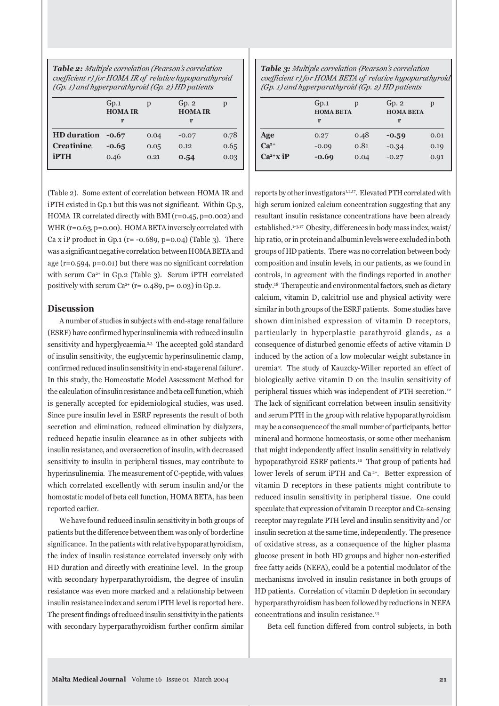*Table 2: Multiple correlation (Pearson's correlation coefficient r) for HOMA IR of relative hypoparathyroid (Gp. 1) and hyperparathyroid (Gp. 2) HD patients*

|                    | Gp.1<br><b>HOMAIR</b><br>r | D    | Gp.2<br><b>HOMAIR</b><br>r |      |
|--------------------|----------------------------|------|----------------------------|------|
| <b>HD</b> duration | $-0.67$                    | 0.04 | $-0.07$                    | 0.78 |
| <b>Creatinine</b>  | $-0.65$                    | 0.05 | 0.12                       | 0.65 |
| <b>iPTH</b>        | 0.46                       | 0.21 | 0.54                       | 0.03 |

(Table 2). Some extent of correlation between HOMA IR and iPTH existed in Gp.1 but this was not significant. Within Gp.3, HOMA IR correlated directly with BMI (r=0.45, p=0.002) and WHR (r=0.63, p=0.00). HOMA BETA inversely correlated with Ca x iP product in Gp.1 ( $r = -0.689$ ,  $p = 0.04$ ) (Table 3). There was a significant negative correlation between HOMA BETA and age (r=0.594, p=0.01) but there was no significant correlation with serum  $Ca^{2+}$  in Gp.2 (Table 3). Serum iPTH correlated positively with serum  $Ca^{2+}$  (r= 0.489, p= 0.03) in Gp.2.

## **Discussion**

A number of studies in subjects with end-stage renal failure (ESRF) have confirmed hyperinsulinemia with reduced insulin sensitivity and hyperglycaemia.<sup>2,3</sup> The accepted gold standard of insulin sensitivity, the euglycemic hyperinsulinemic clamp, confirmed reduced insulin sensitivity in end-stage renal failure2. In this study, the Homeostatic Model Assessment Method for the calculation of insulin resistance and beta cell function, which is generally accepted for epidemiological studies, was used. Since pure insulin level in ESRF represents the result of both secretion and elimination, reduced elimination by dialyzers, reduced hepatic insulin clearance as in other subjects with insulin resistance, and oversecretion of insulin, with decreased sensitivity to insulin in peripheral tissues, may contribute to hyperinsulinemia. The measurement of C-peptide, with values which correlated excellently with serum insulin and/or the homostatic model of beta cell function, HOMA BETA, has been reported earlier.

We have found reduced insulin sensitivity in both groups of patients but the difference between them was only of borderline significance. In the patients with relative hypoparathyroidism, the index of insulin resistance correlated inversely only with HD duration and directly with creatinine level. In the group with secondary hyperparathyroidism, the degree of insulin resistance was even more marked and a relationship between insulin resistance index and serum iPTH level is reported here. The present findings of reduced insulin sensitivity in the patients with secondary hyperparathyroidism further confirm similar

*Table 3: Multiple correlation (Pearson's correlation coefficient r) for HOMA BETA of relative hypoparathyroid (Gp. 1) and hyperparathyroid (Gp. 2) HD patients*

|               | Gp.1<br><b>HOMA BETA</b><br>r | р    | Gp.2<br><b>HOMA BETA</b><br>r | р    |
|---------------|-------------------------------|------|-------------------------------|------|
| Age           | 0.27                          | 0.48 | $-0.59$                       | 0.01 |
| $Ca^{2+}$     | $-0.09$                       | 0.81 | $-0.34$                       | 0.19 |
| $Ca^{2+}x$ iP | $-0.69$                       | 0.04 | $-0.27$                       | 0.91 |

reports by other investigators<sup>1,2,17</sup>. Elevated PTH correlated with high serum ionized calcium concentration suggesting that any resultant insulin resistance concentrations have been already established.<sup>1-3,17</sup> Obesity, differences in body mass index, waist/ hip ratio, or in protein and albumin levels were excluded in both groups of HD patients. There was no correlation between body composition and insulin levels, in our patients, as we found in controls, in agreement with the findings reported in another study.18 Therapeutic and environmental factors, such as dietary calcium, vitamin D, calcitriol use and physical activity were similar in both groups of the ESRF patients. Some studies have shown diminished expression of vitamin D receptors, particularly in hyperplastic parathyroid glands, as a consequence of disturbed genomic effects of active vitamin D induced by the action of a low molecular weight substance in uremia <sup>9</sup> . The study of Kauzcky-Willer reported an effect of biologically active vitamin D on the insulin sensitivity of peripheral tissues which was independent of PTH secretion. <sup>12</sup> The lack of significant correlation between insulin sensitivity and serum PTH in the group with relative hypoparathyroidism may be a consequence of the small number of participants, better mineral and hormone homeostasis, or some other mechanism that might independently affect insulin sensitivity in relatively hypoparathyroid ESRF patients.<sup>10</sup> That group of patients had lower levels of serum iPTH and Ca<sup>2+</sup>. Better expression of vitamin D receptors in these patients might contribute to reduced insulin sensitivity in peripheral tissue. One could speculate that expression of vitamin D receptor and Ca-sensing receptor may regulate PTH level and insulin sensitivity and /or insulin secretion at the same time, independently. The presence of oxidative stress, as a consequence of the higher plasma glucose present in both HD groups and higher non-esterified free fatty acids (NEFA), could be a potential modulator of the mechanisms involved in insulin resistance in both groups of HD patients. Correlation of vitamin D depletion in secondary hyperparathyroidism has been followed by reductions in NEFA concentrations and insulin resistance.<sup>13</sup>

Beta cell function differed from control subjects, in both